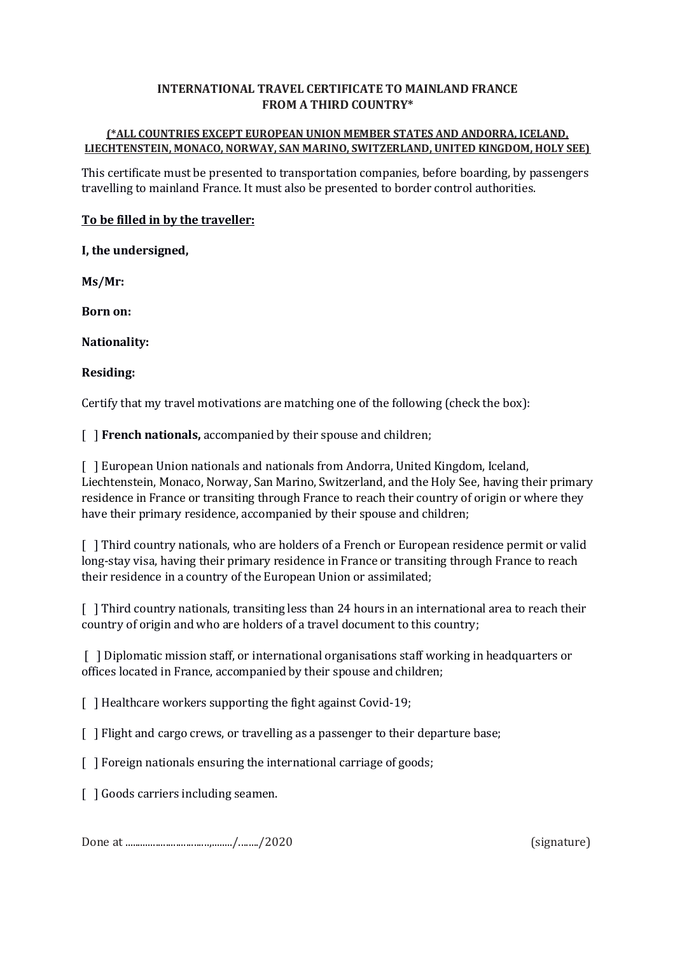## **INTERNATIONAL TRAVEL CERTIFICATE TO MAINLAND FRANCE FROM A THIRD COUNTRY\***

## **(\*ALL COUNTRIES EXCEPT EUROPEAN UNION MEMBER STATES AND ANDORRA, ICELAND, LIECHTENSTEIN, MONACO, NORWAY, SAN MARINO, SWITZERLAND, UNITED KINGDOM, HOLY SEE)**

This certificate must be presented to transportation companies, before boarding, by passengers travelling to mainland France. It must also be presented to border control authorities.

# **To be filled in by the traveller:**

**I, the undersigned,**

**Ms/Mr:**

**Born on:**

**Nationality:**

**Residing:**

Certify that my travel motivations are matching one of the following (check the box):

[ ] **French nationals,** accompanied by their spouse and children;

[ ] European Union nationals and nationals from Andorra, United Kingdom, Iceland, Liechtenstein, Monaco, Norway, San Marino, Switzerland, and the Holy See, having their primary residence in France or transiting through France to reach their country of origin or where they have their primary residence, accompanied by their spouse and children;

[ ] Third country nationals, who are holders of a French or European residence permit or valid long-stay visa, having their primary residence in France or transiting through France to reach their residence in a country of the European Union or assimilated;

[ ] Third country nationals, transiting less than 24 hours in an international area to reach their country of origin and who are holders of a travel document to this country;

[ ] Diplomatic mission staff, or international organisations staff working in headquarters or offices located in France, accompanied by their spouse and children;

[ ] Healthcare workers supporting the fight against Covid-19;

[ ] Flight and cargo crews, or travelling as a passenger to their departure base;

[ ] Foreign nationals ensuring the international carriage of goods;

[ ] Goods carriers including seamen.

Done at .................................,......../......../2020 (signature)